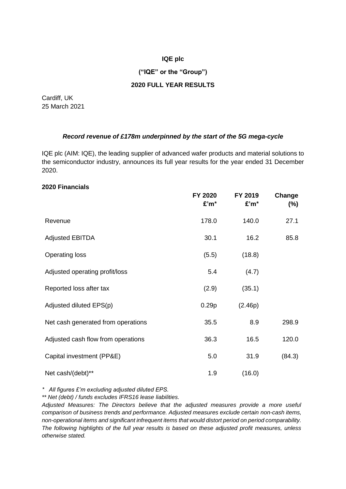### **IQE plc**

### **("IQE" or the "Group")**

### **2020 FULL YEAR RESULTS**

Cardiff, UK 25 March 2021

### *Record revenue of £178m underpinned by the start of the 5G mega-cycle*

IQE plc (AIM: IQE), the leading supplier of advanced wafer products and material solutions to the semiconductor industry, announces its full year results for the year ended 31 December 2020.

### **2020 Financials**

|                                    | FY 2020<br>£'m* | FY 2019<br>£'m* | Change<br>$(\%)$ |
|------------------------------------|-----------------|-----------------|------------------|
| Revenue                            | 178.0           | 140.0           | 27.1             |
| <b>Adjusted EBITDA</b>             | 30.1            | 16.2            | 85.8             |
| <b>Operating loss</b>              | (5.5)           | (18.8)          |                  |
| Adjusted operating profit/loss     | 5.4             | (4.7)           |                  |
| Reported loss after tax            | (2.9)           | (35.1)          |                  |
| Adjusted diluted EPS(p)            | 0.29p           | (2.46p)         |                  |
| Net cash generated from operations | 35.5            | 8.9             | 298.9            |
| Adjusted cash flow from operations | 36.3            | 16.5            | 120.0            |
| Capital investment (PP&E)          | 5.0             | 31.9            | (84.3)           |
| Net cash/(debt)**                  | 1.9             | (16.0)          |                  |

*\* All figures £'m excluding adjusted diluted EPS.*

*\*\* Net (debt) / funds excludes IFRS16 lease liabilities.*

*Adjusted Measures: The Directors believe that the adjusted measures provide a more useful comparison of business trends and performance. Adjusted measures exclude certain non-cash items, non-operational items and significant infrequent items that would distort period on period comparability. The following highlights of the full year results is based on these adjusted profit measures, unless otherwise stated.*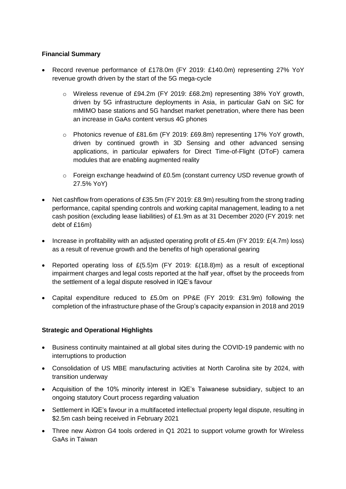## **Financial Summary**

- Record revenue performance of £178.0m (FY 2019: £140.0m) representing 27% YoY revenue growth driven by the start of the 5G mega-cycle
	- o Wireless revenue of £94.2m (FY 2019: £68.2m) representing 38% YoY growth, driven by 5G infrastructure deployments in Asia, in particular GaN on SiC for mMIMO base stations and 5G handset market penetration, where there has been an increase in GaAs content versus 4G phones
	- o Photonics revenue of £81.6m (FY 2019: £69.8m) representing 17% YoY growth, driven by continued growth in 3D Sensing and other advanced sensing applications, in particular epiwafers for Direct Time-of-Flight (DToF) camera modules that are enabling augmented reality
	- $\circ$  Foreign exchange headwind of £0.5m (constant currency USD revenue growth of 27.5% YoY)
- Net cashflow from operations of £35.5m (FY 2019: £8.9m) resulting from the strong trading performance, capital spending controls and working capital management, leading to a net cash position (excluding lease liabilities) of £1.9m as at 31 December 2020 (FY 2019: net debt of £16m)
- Increase in profitability with an adjusted operating profit of £5.4m (FY 2019: £(4.7m) loss) as a result of revenue growth and the benefits of high operational gearing
- Reported operating loss of  $E(5.5)$ m (FY 2019:  $E(18.8)$ m) as a result of exceptional impairment charges and legal costs reported at the half year, offset by the proceeds from the settlement of a legal dispute resolved in IQE's favour
- Capital expenditure reduced to £5.0m on PP&E (FY 2019: £31.9m) following the completion of the infrastructure phase of the Group's capacity expansion in 2018 and 2019

# **Strategic and Operational Highlights**

- Business continuity maintained at all global sites during the COVID-19 pandemic with no interruptions to production
- Consolidation of US MBE manufacturing activities at North Carolina site by 2024, with transition underway
- Acquisition of the 10% minority interest in IQE's Taiwanese subsidiary, subject to an ongoing statutory Court process regarding valuation
- Settlement in IQE's favour in a multifaceted intellectual property legal dispute, resulting in \$2.5m cash being received in February 2021
- Three new Aixtron G4 tools ordered in Q1 2021 to support volume growth for Wireless GaAs in Taiwan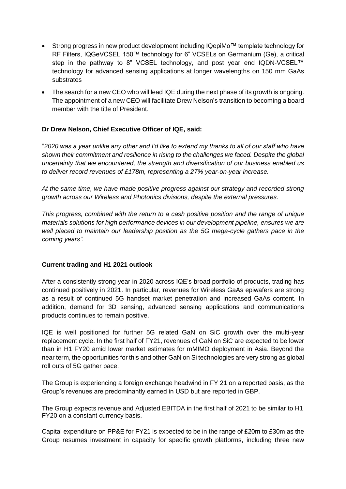- Strong progress in new product development including IQepiMo™ template technology for RF Filters, IQGeVCSEL 150™ technology for 6" VCSELs on Germanium (Ge), a critical step in the pathway to 8" VCSEL technology, and post year end IQDN-VCSEL™ technology for advanced sensing applications at longer wavelengths on 150 mm GaAs substrates
- The search for a new CEO who will lead IQE during the next phase of its growth is ongoing. The appointment of a new CEO will facilitate Drew Nelson's transition to becoming a board member with the title of President.

# **Dr Drew Nelson, Chief Executive Officer of IQE, said:**

"*2020 was a year unlike any other and I'd like to extend my thanks to all of our staff who have shown their commitment and resilience in rising to the challenges we faced. Despite the global uncertainty that we encountered, the strength and diversification of our business enabled us to deliver record revenues of £178m, representing a 27% year-on-year increase.* 

*At the same time, we have made positive progress against our strategy and recorded strong growth across our Wireless and Photonics divisions, despite the external pressures.*

*This progress, combined with the return to a cash positive position and the range of unique materials solutions for high performance devices in our development pipeline, ensures we are well placed to maintain our leadership position as the 5G mega-cycle gathers pace in the coming years".*

### **Current trading and H1 2021 outlook**

After a consistently strong year in 2020 across IQE's broad portfolio of products, trading has continued positively in 2021. In particular, revenues for Wireless GaAs epiwafers are strong as a result of continued 5G handset market penetration and increased GaAs content. In addition, demand for 3D sensing, advanced sensing applications and communications products continues to remain positive.

IQE is well positioned for further 5G related GaN on SiC growth over the multi-year replacement cycle. In the first half of FY21, revenues of GaN on SiC are expected to be lower than in H1 FY20 amid lower market estimates for mMIMO deployment in Asia. Beyond the near term, the opportunities for this and other GaN on Si technologies are very strong as global roll outs of 5G gather pace.

The Group is experiencing a foreign exchange headwind in FY 21 on a reported basis, as the Group's revenues are predominantly earned in USD but are reported in GBP.

The Group expects revenue and Adjusted EBITDA in the first half of 2021 to be similar to H1 FY20 on a constant currency basis.

Capital expenditure on PP&E for FY21 is expected to be in the range of £20m to £30m as the Group resumes investment in capacity for specific growth platforms, including three new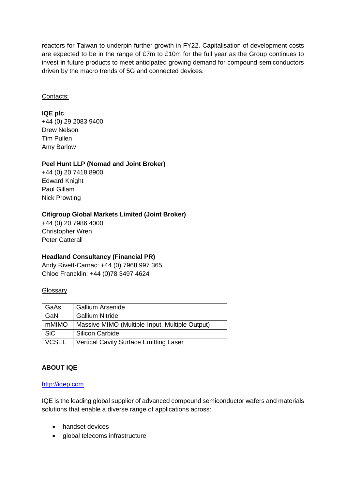reactors for Taiwan to underpin further growth in FY22. Capitalisation of development costs are expected to be in the range of £7m to £10m for the full year as the Group continues to invest in future products to meet anticipated growing demand for compound semiconductors driven by the macro trends of 5G and connected devices.

### Contacts:

## **IQE plc**

+44 (0) 29 2083 9400 Drew Nelson Tim Pullen Amy Barlow

## **Peel Hunt LLP (Nomad and Joint Broker)**

+44 (0) 20 7418 8900 Edward Knight Paul Gillam Nick Prowting

## **Citigroup Global Markets Limited (Joint Broker)**

+44 (0) 20 7986 4000 Christopher Wren Peter Catterall

# **Headland Consultancy (Financial PR)**

Andy Rivett-Carnac: +44 (0) 7968 997 365 Chloe Francklin: +44 (0)78 3497 4624

### **Glossary**

| GaAs         | <b>Gallium Arsenide</b>                        |
|--------------|------------------------------------------------|
| GaN          | <b>Gallium Nitride</b>                         |
| mMIMO        | Massive MIMO (Multiple-Input, Multiple Output) |
| <b>SiC</b>   | <b>Silicon Carbide</b>                         |
| <b>VCSEL</b> | <b>Vertical Cavity Surface Emitting Laser</b>  |

# **ABOUT IQE**

#### [http://iqep.com](https://www.globenewswire.com/Tracker?data=yZf7NKp1JKLALUCxlBuC8wkLnLAqoe5-kjjIlkMIDci9q9W0x_02bwZV-eorSbpLXZxy4zi3xHh-O4FM8nWjeg==)

IQE is the leading global supplier of advanced compound semiconductor wafers and materials solutions that enable a diverse range of applications across:

- handset devices
- global telecoms infrastructure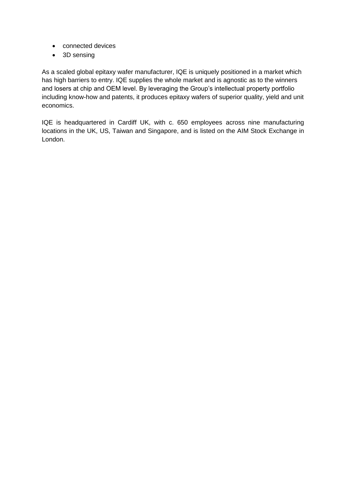- connected devices
- 3D sensing

As a scaled global epitaxy wafer manufacturer, IQE is uniquely positioned in a market which has high barriers to entry. IQE supplies the whole market and is agnostic as to the winners and losers at chip and OEM level. By leveraging the Group's intellectual property portfolio including know-how and patents, it produces epitaxy wafers of superior quality, yield and unit economics.

IQE is headquartered in Cardiff UK, with c. 650 employees across nine manufacturing locations in the UK, US, Taiwan and Singapore, and is listed on the AIM Stock Exchange in London.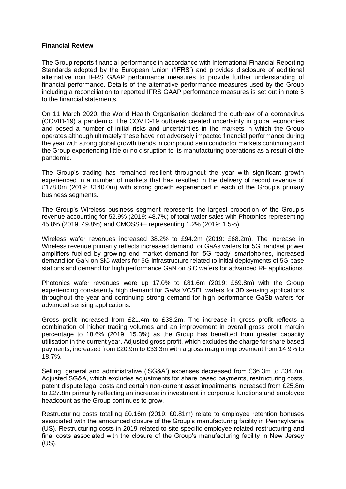#### **Financial Review**

The Group reports financial performance in accordance with International Financial Reporting Standards adopted by the European Union ('IFRS') and provides disclosure of additional alternative non IFRS GAAP performance measures to provide further understanding of financial performance. Details of the alternative performance measures used by the Group including a reconciliation to reported IFRS GAAP performance measures is set out in note 5 to the financial statements.

On 11 March 2020, the World Health Organisation declared the outbreak of a coronavirus (COVID-19) a pandemic. The COVID-19 outbreak created uncertainty in global economies and posed a number of initial risks and uncertainties in the markets in which the Group operates although ultimately these have not adversely impacted financial performance during the year with strong global growth trends in compound semiconductor markets continuing and the Group experiencing little or no disruption to its manufacturing operations as a result of the pandemic.

The Group's trading has remained resilient throughout the year with significant growth experienced in a number of markets that has resulted in the delivery of record revenue of £178.0m (2019: £140.0m) with strong growth experienced in each of the Group's primary business segments.

The Group's Wireless business segment represents the largest proportion of the Group's revenue accounting for 52.9% (2019: 48.7%) of total wafer sales with Photonics representing 45.8% (2019: 49.8%) and CMOSS++ representing 1.2% (2019: 1.5%).

Wireless wafer revenues increased 38.2% to £94.2m (2019: £68.2m). The increase in Wireless revenue primarily reflects increased demand for GaAs wafers for 5G handset power amplifiers fuelled by growing end market demand for '5G ready' smartphones, increased demand for GaN on SiC wafers for 5G infrastructure related to initial deployments of 5G base stations and demand for high performance GaN on SiC wafers for advanced RF applications.

Photonics wafer revenues were up 17.0% to £81.6m (2019: £69.8m) with the Group experiencing consistently high demand for GaAs VCSEL wafers for 3D sensing applications throughout the year and continuing strong demand for high performance GaSb wafers for advanced sensing applications.

Gross profit increased from £21.4m to £33.2m. The increase in gross profit reflects a combination of higher trading volumes and an improvement in overall gross profit margin percentage to 18.6% (2019: 15.3%) as the Group has benefited from greater capacity utilisation in the current year. Adjusted gross profit, which excludes the charge for share based payments, increased from £20.9m to £33.3m with a gross margin improvement from 14.9% to 18.7%.

Selling, general and administrative ('SG&A') expenses decreased from £36.3m to £34.7m. Adjusted SG&A, which excludes adjustments for share based payments, restructuring costs, patent dispute legal costs and certain non-current asset impairments increased from £25.8m to £27.8m primarily reflecting an increase in investment in corporate functions and employee headcount as the Group continues to grow.

Restructuring costs totalling £0.16m (2019: £0.81m) relate to employee retention bonuses associated with the announced closure of the Group's manufacturing facility in Pennsylvania (US). Restructuring costs in 2019 related to site-specific employee related restructuring and final costs associated with the closure of the Group's manufacturing facility in New Jersey (US).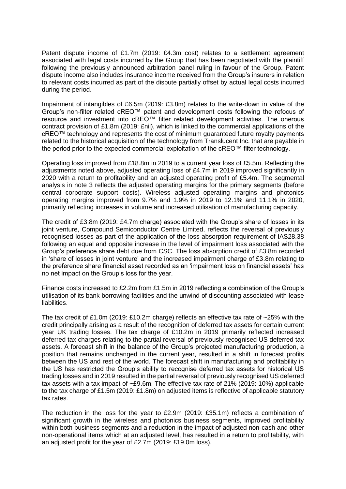Patent dispute income of £1.7m (2019: £4.3m cost) relates to a settlement agreement associated with legal costs incurred by the Group that has been negotiated with the plaintiff following the previously announced arbitration panel ruling in favour of the Group. Patent dispute income also includes insurance income received from the Group's insurers in relation to relevant costs incurred as part of the dispute partially offset by actual legal costs incurred during the period.

Impairment of intangibles of £6.5m (2019: £3.8m) relates to the write-down in value of the Group's non-filter related cREO™ patent and development costs following the refocus of resource and investment into cREO™ filter related development activities. The onerous contract provision of £1.8m (2019: £nil), which is linked to the commercial applications of the cREO™ technology and represents the cost of minimum guaranteed future royalty payments related to the historical acquisition of the technology from Translucent Inc. that are payable in the period prior to the expected commercial exploitation of the cREO™ filter technology.

Operating loss improved from £18.8m in 2019 to a current year loss of £5.5m. Reflecting the adjustments noted above, adjusted operating loss of £4.7m in 2019 improved significantly in 2020 with a return to profitability and an adjusted operating profit of £5.4m. The segmental analysis in note 3 reflects the adjusted operating margins for the primary segments (before central corporate support costs). Wireless adjusted operating margins and photonics operating margins improved from 9.7% and 1.9% in 2019 to 12.1% and 11.1% in 2020, primarily reflecting increases in volume and increased utilisation of manufacturing capacity.

The credit of £3.8m (2019: £4.7m charge) associated with the Group's share of losses in its joint venture, Compound Semiconductor Centre Limited, reflects the reversal of previously recognised losses as part of the application of the loss absorption requirement of IAS28.38 following an equal and opposite increase in the level of impairment loss associated with the Group's preference share debt due from CSC. The loss absorption credit of £3.8m recorded in 'share of losses in joint venture' and the increased impairment charge of £3.8m relating to the preference share financial asset recorded as an 'impairment loss on financial assets' has no net impact on the Group's loss for the year.

Finance costs increased to £2.2m from £1.5m in 2019 reflecting a combination of the Group's utilisation of its bank borrowing facilities and the unwind of discounting associated with lease liabilities.

The tax credit of £1.0m (2019: £10.2m charge) reflects an effective tax rate of  $\sim$ 25% with the credit principally arising as a result of the recognition of deferred tax assets for certain current year UK trading losses. The tax charge of £10.2m in 2019 primarily reflected increased deferred tax charges relating to the partial reversal of previously recognised US deferred tax assets. A forecast shift in the balance of the Group's projected manufacturing production, a position that remains unchanged in the current year, resulted in a shift in forecast profits between the US and rest of the world. The forecast shift in manufacturing and profitability in the US has restricted the Group's ability to recognise deferred tax assets for historical US trading losses and in 2019 resulted in the partial reversal of previously recognised US deferred tax assets with a tax impact of ~£9.6m. The effective tax rate of 21% (2019: 10%) applicable to the tax charge of £1.5m (2019: £1.8m) on adjusted items is reflective of applicable statutory tax rates.

The reduction in the loss for the year to £2.9m (2019: £35.1m) reflects a combination of significant growth in the wireless and photonics business segments, improved profitability within both business segments and a reduction in the impact of adjusted non-cash and other non-operational items which at an adjusted level, has resulted in a return to profitability, with an adjusted profit for the year of £2.7m (2019: £19.0m loss).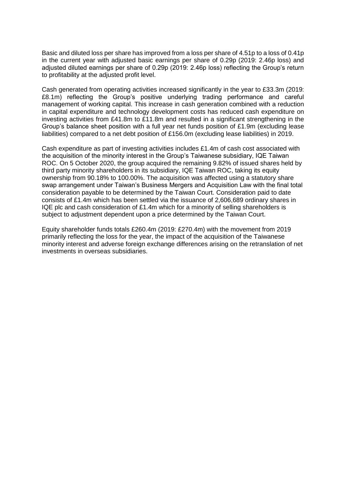Basic and diluted loss per share has improved from a loss per share of 4.51p to a loss of 0.41p in the current year with adjusted basic earnings per share of 0.29p (2019: 2.46p loss) and adjusted diluted earnings per share of 0.29p (2019: 2.46p loss) reflecting the Group's return to profitability at the adjusted profit level.

Cash generated from operating activities increased significantly in the year to £33.3m (2019: £8.1m) reflecting the Group's positive underlying trading performance and careful management of working capital. This increase in cash generation combined with a reduction in capital expenditure and technology development costs has reduced cash expenditure on investing activities from £41.8m to £11.8m and resulted in a significant strengthening in the Group's balance sheet position with a full year net funds position of £1.9m (excluding lease liabilities) compared to a net debt position of £156.0m (excluding lease liabilities) in 2019.

Cash expenditure as part of investing activities includes £1.4m of cash cost associated with the acquisition of the minority interest in the Group's Taiwanese subsidiary, IQE Taiwan ROC. On 5 October 2020, the group acquired the remaining 9.82% of issued shares held by third party minority shareholders in its subsidiary, IQE Taiwan ROC, taking its equity ownership from 90.18% to 100.00%. The acquisition was affected using a statutory share swap arrangement under Taiwan's Business Mergers and Acquisition Law with the final total consideration payable to be determined by the Taiwan Court. Consideration paid to date consists of £1.4m which has been settled via the issuance of 2,606,689 ordinary shares in IQE plc and cash consideration of £1.4m which for a minority of selling shareholders is subject to adjustment dependent upon a price determined by the Taiwan Court.

Equity shareholder funds totals £260.4m (2019: £270.4m) with the movement from 2019 primarily reflecting the loss for the year, the impact of the acquisition of the Taiwanese minority interest and adverse foreign exchange differences arising on the retranslation of net investments in overseas subsidiaries.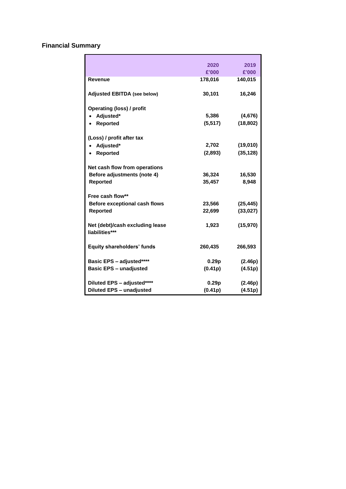# **Financial Summary**

|                                                   | 2020     | 2019      |
|---------------------------------------------------|----------|-----------|
|                                                   | £'000    | £'000     |
| <b>Revenue</b>                                    | 178,016  | 140,015   |
| <b>Adjusted EBITDA (see below)</b>                | 30,101   | 16,246    |
| <b>Operating (loss) / profit</b>                  |          |           |
| Adjusted*                                         | 5,386    | (4,676)   |
| <b>Reported</b><br>$\bullet$                      | (5, 517) | (18, 802) |
| (Loss) / profit after tax                         |          |           |
| Adjusted*                                         | 2,702    | (19,010)  |
| Reported                                          | (2,893)  | (35, 128) |
| Net cash flow from operations                     |          |           |
| Before adjustments (note 4)                       | 36,324   | 16,530    |
| <b>Reported</b>                                   | 35,457   | 8,948     |
| Free cash flow**                                  |          |           |
| <b>Before exceptional cash flows</b>              | 23,566   | (25, 445) |
| <b>Reported</b>                                   | 22,699   | (33, 027) |
| Net (debt)/cash excluding lease<br>liabilities*** | 1,923    | (15, 970) |
| <b>Equity shareholders' funds</b>                 | 260,435  | 266,593   |
| Basic EPS - adjusted****                          | 0.29p    | (2.46p)   |
| <b>Basic EPS - unadjusted</b>                     | (0.41p)  | (4.51p)   |
| Diluted EPS - adjusted****                        | 0.29p    | (2.46p)   |
| <b>Diluted EPS - unadjusted</b>                   | (0.41p)  | (4.51p)   |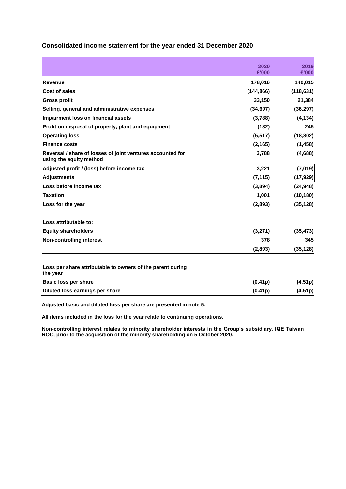|                                                                                       | 2020       | 2019       |
|---------------------------------------------------------------------------------------|------------|------------|
|                                                                                       | £'000      | £'000      |
| Revenue                                                                               | 178,016    | 140,015    |
| Cost of sales                                                                         | (144, 866) | (118, 631) |
| <b>Gross profit</b>                                                                   | 33,150     | 21,384     |
| Selling, general and administrative expenses                                          | (34, 697)  | (36, 297)  |
| <b>Impairment loss on financial assets</b>                                            | (3,788)    | (4, 134)   |
| Profit on disposal of property, plant and equipment                                   | (182)      | 245        |
| <b>Operating loss</b>                                                                 | (5, 517)   | (18, 802)  |
| <b>Finance costs</b>                                                                  | (2, 165)   | (1, 458)   |
| Reversal / share of losses of joint ventures accounted for<br>using the equity method | 3,788      | (4,688)    |
| Adjusted profit / (loss) before income tax                                            | 3,221      | (7,019)    |
| <b>Adjustments</b>                                                                    | (7, 115)   | (17, 929)  |
| Loss before income tax                                                                | (3,894)    | (24, 948)  |
| <b>Taxation</b>                                                                       | 1,001      | (10, 180)  |
| Loss for the year                                                                     | (2,893)    | (35, 128)  |
| Loss attributable to:                                                                 |            |            |
| <b>Equity shareholders</b>                                                            | (3,271)    | (35, 473)  |
| <b>Non-controlling interest</b>                                                       | 378        | 345        |
|                                                                                       | (2,893)    | (35, 128)  |
| Loss per share attributable to owners of the parent during<br>the year                |            |            |
| Basic loss per share                                                                  | (0.41p)    | (4.51p)    |
| Diluted loss earnings per share                                                       | (0.41p)    | (4.51p)    |
|                                                                                       |            |            |

### **Consolidated income statement for the year ended 31 December 2020**

**Adjusted basic and diluted loss per share are presented in note 5.**

**All items included in the loss for the year relate to continuing operations.**

**Non-controlling interest relates to minority shareholder interests in the Group's subsidiary, IQE Taiwan ROC, prior to the acquisition of the minority shareholding on 5 October 2020.**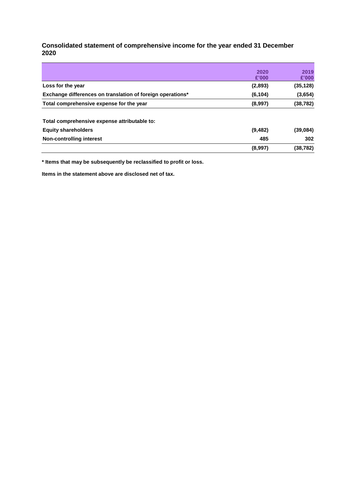### **Consolidated statement of comprehensive income for the year ended 31 December 2020**

|                                                            | (8,997)  | (38, 782) |
|------------------------------------------------------------|----------|-----------|
| Non-controlling interest                                   | 485      | 302       |
| <b>Equity shareholders</b>                                 | (9, 482) | (39,084)  |
| Total comprehensive expense attributable to:               |          |           |
| Total comprehensive expense for the year                   | (8,997)  | (38, 782) |
| Exchange differences on translation of foreign operations* | (6, 104) | (3,654)   |
| Loss for the year                                          | (2,893)  | (35, 128) |
|                                                            | £'000    | £'000     |
|                                                            | 2020     | 2019      |

**\* Items that may be subsequently be reclassified to profit or loss.**

**Items in the statement above are disclosed net of tax.**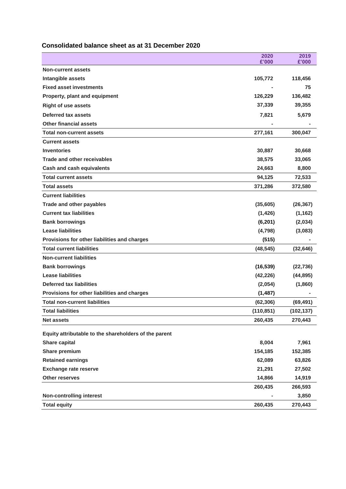# **Consolidated balance sheet as at 31 December 2020**

|                                                       | 2020<br>£'000 | 2019<br>£'000 |
|-------------------------------------------------------|---------------|---------------|
| <b>Non-current assets</b>                             |               |               |
| Intangible assets                                     | 105,772       | 118,456       |
| <b>Fixed asset investments</b>                        |               | 75            |
| Property, plant and equipment                         | 126,229       | 136,482       |
| <b>Right of use assets</b>                            | 37,339        | 39,355        |
| <b>Deferred tax assets</b>                            | 7,821         | 5,679         |
| <b>Other financial assets</b>                         |               |               |
| <b>Total non-current assets</b>                       | 277,161       | 300,047       |
| <b>Current assets</b>                                 |               |               |
| <b>Inventories</b>                                    | 30,887        | 30,668        |
| <b>Trade and other receivables</b>                    | 38,575        | 33,065        |
| <b>Cash and cash equivalents</b>                      | 24,663        | 8,800         |
| <b>Total current assets</b>                           | 94,125        | 72,533        |
| <b>Total assets</b>                                   | 371,286       | 372,580       |
| <b>Current liabilities</b>                            |               |               |
| Trade and other payables                              | (35,605)      | (26, 367)     |
| <b>Current tax liabilities</b>                        | (1, 426)      | (1, 162)      |
| <b>Bank borrowings</b>                                | (6, 201)      | (2,034)       |
| <b>Lease liabilities</b>                              | (4,798)       | (3,083)       |
| Provisions for other liabilities and charges          | (515)         |               |
| <b>Total current liabilities</b>                      | (48, 545)     | (32, 646)     |
| <b>Non-current liabilities</b>                        |               |               |
| <b>Bank borrowings</b>                                | (16, 539)     | (22, 736)     |
| <b>Lease liabilities</b>                              | (42, 226)     | (44, 895)     |
| <b>Deferred tax liabilities</b>                       | (2,054)       | (1,860)       |
| Provisions for other liabilities and charges          | (1, 487)      |               |
| <b>Total non-current liabilities</b>                  | (62, 306)     | (69, 491)     |
| <b>Total liabilities</b>                              | (110, 851)    | (102, 137)    |
| <b>Net assets</b>                                     | 260,435       | 270,443       |
| Equity attributable to the shareholders of the parent |               |               |
| <b>Share capital</b>                                  | 8,004         | 7,961         |
| Share premium                                         | 154,185       | 152,385       |
| <b>Retained earnings</b>                              | 62,089        | 63,826        |
| <b>Exchange rate reserve</b>                          | 21,291        | 27,502        |
| Other reserves                                        | 14,866        | 14,919        |
|                                                       | 260,435       | 266,593       |
| <b>Non-controlling interest</b>                       |               | 3,850         |
| <b>Total equity</b>                                   | 260,435       | 270,443       |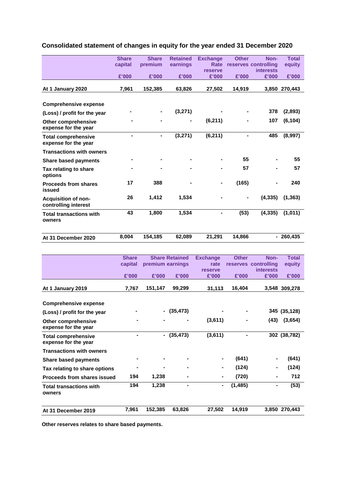|                                                    | <b>Share</b> | <b>Share</b> | <b>Retained</b> | <b>Exchange</b> | <b>Other</b>   | Non-                 | <b>Total</b>  |
|----------------------------------------------------|--------------|--------------|-----------------|-----------------|----------------|----------------------|---------------|
|                                                    | capital      | premium      | earnings        | Rate            |                | reserves controlling | equity        |
|                                                    |              |              |                 | reserve         |                | <b>interests</b>     |               |
|                                                    | £'000        | £'000        | £'000           | £'000           | £'000          | £'000                | £'000         |
|                                                    |              |              |                 |                 |                |                      |               |
| At 1 January 2020                                  | 7,961        | 152,385      | 63,826          | 27,502          | 14,919         |                      | 3,850 270,443 |
|                                                    |              |              |                 |                 |                |                      |               |
| <b>Comprehensive expense</b>                       |              |              |                 |                 |                |                      |               |
| (Loss) / profit for the year                       |              |              | (3,271)         |                 |                | 378                  | (2,893)       |
| <b>Other comprehensive</b><br>expense for the year |              |              |                 | (6, 211)        |                | 107                  | (6, 104)      |
| <b>Total comprehensive</b><br>expense for the year |              | ۰            | (3,271)         | (6, 211)        | $\blacksquare$ | 485                  | (8,997)       |
| <b>Transactions with owners</b>                    |              |              |                 |                 |                |                      |               |
| <b>Share based payments</b>                        |              |              |                 |                 | 55             |                      | 55            |
| Tax relating to share<br>options                   |              |              |                 |                 | 57             |                      | 57            |
| <b>Proceeds from shares</b><br>issued              | 17           | 388          |                 |                 | (165)          |                      | 240           |
| <b>Acquisition of non-</b><br>controlling interest | 26           | 1,412        | 1,534           |                 | $\blacksquare$ | (4, 335)             | (1, 363)      |
| <b>Total transactions with</b><br>owners           | 43           | 1,800        | 1,534           | Ξ.              | (53)           | (4, 335)             | (1,011)       |
| At 31 December 2020                                | 8.004        | 154,185      | 62,089          | 21,291          | 14,866         |                      | $-260.435$    |

# **Consolidated statement of changes in equity for the year ended 31 December 2020**

|                                                    | <b>Share</b> |                  | <b>Share Retained</b> | <b>Exchange</b>  | <b>Other</b> | Non-                      | <b>Total</b>  |
|----------------------------------------------------|--------------|------------------|-----------------------|------------------|--------------|---------------------------|---------------|
|                                                    | capital      | premium earnings |                       | rate             |              | reserves controlling      | equity        |
|                                                    | £'000        | £'000            | £'000                 | reserve<br>£'000 | £'000        | <b>interests</b><br>£'000 | £'000         |
| At 1 January 2019                                  | 7,767        | 151,147          | 99,299                | 31,113           | 16,404       |                           | 3,548 309,278 |
| <b>Comprehensive expense</b>                       |              |                  |                       |                  |              |                           |               |
|                                                    |              |                  |                       |                  |              |                           |               |
| (Loss) / profit for the year                       |              |                  | (35, 473)             |                  |              |                           | 345 (35,128)  |
| <b>Other comprehensive</b><br>expense for the year |              |                  |                       | (3,611)          |              | (43)                      | (3,654)       |
| <b>Total comprehensive</b><br>expense for the year |              | $\blacksquare$   | (35, 473)             | (3,611)          |              |                           | 302 (38,782)  |
| <b>Transactions with owners</b>                    |              |                  |                       |                  |              |                           |               |
| <b>Share based payments</b>                        |              |                  |                       | $\blacksquare$   | (641)        |                           | (641)         |
| Tax relating to share options                      |              |                  |                       | ۰                | (124)        |                           | (124)         |
| <b>Proceeds from shares issued</b>                 | 194          | 1,238            |                       | $\blacksquare$   | (720)        |                           | 712           |
| <b>Total transactions with</b><br>owners           | 194          | 1,238            |                       | ۰                | (1, 485)     | -                         | (53)          |
| At 31 December 2019                                | 7,961        | 152,385          | 63,826                | 27,502           | 14,919       |                           | 3,850 270,443 |

**Other reserves relates to share based payments.**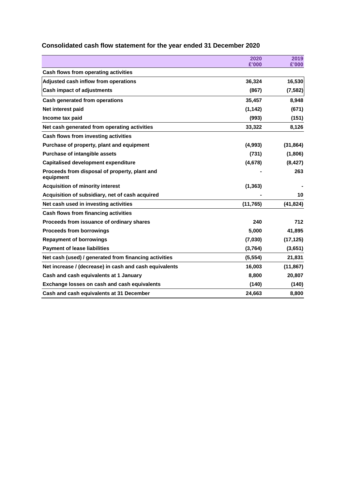|                                                            | 2020      | 2019      |
|------------------------------------------------------------|-----------|-----------|
|                                                            | £'000     | £'000     |
| Cash flows from operating activities                       |           |           |
| Adjusted cash inflow from operations                       | 36,324    | 16,530    |
| <b>Cash impact of adjustments</b>                          | (867)     | (7, 582)  |
| Cash generated from operations                             | 35,457    | 8,948     |
| Net interest paid                                          | (1, 142)  | (671)     |
| Income tax paid                                            | (993)     | (151)     |
| Net cash generated from operating activities               | 33,322    | 8,126     |
| Cash flows from investing activities                       |           |           |
| Purchase of property, plant and equipment                  | (4,993)   | (31, 864) |
| <b>Purchase of intangible assets</b>                       | (731)     | (1,806)   |
| <b>Capitalised development expenditure</b>                 | (4,678)   | (8, 427)  |
| Proceeds from disposal of property, plant and<br>equipment |           | 263       |
| <b>Acquisition of minority interest</b>                    | (1, 363)  |           |
| Acquisition of subsidiary, net of cash acquired            |           | 10        |
| Net cash used in investing activities                      | (11, 765) | (41, 824) |
| Cash flows from financing activities                       |           |           |
| Proceeds from issuance of ordinary shares                  | 240       | 712       |
| <b>Proceeds from borrowings</b>                            | 5,000     | 41,895    |
| <b>Repayment of borrowings</b>                             | (7,030)   | (17, 125) |
| <b>Payment of lease liabilities</b>                        | (3,764)   | (3,651)   |
| Net cash (used) / generated from financing activities      | (5, 554)  | 21,831    |
| Net increase / (decrease) in cash and cash equivalents     | 16,003    | (11, 867) |
| Cash and cash equivalents at 1 January                     | 8,800     | 20,807    |
| Exchange losses on cash and cash equivalents               | (140)     | (140)     |
| Cash and cash equivalents at 31 December                   | 24,663    | 8,800     |

# **Consolidated cash flow statement for the year ended 31 December 2020**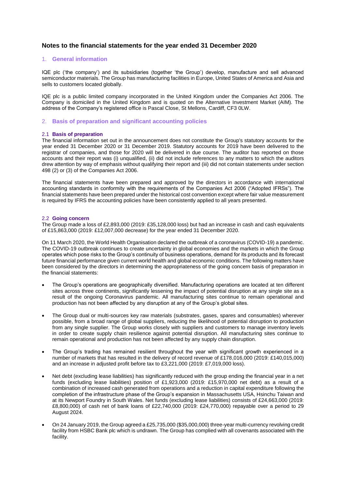### **Notes to the financial statements for the year ended 31 December 2020**

#### 1. **General information**

IQE plc ('the company') and its subsidiaries (together 'the Group') develop, manufacture and sell advanced semiconductor materials. The Group has manufacturing facilities in Europe, United States of America and Asia and sells to customers located globally.

IQE plc is a public limited company incorporated in the United Kingdom under the Companies Act 2006. The Company is domiciled in the United Kingdom and is quoted on the Alternative Investment Market (AIM). The address of the Company's registered office is Pascal Close, St Mellons, Cardiff, CF3 0LW.

#### 2. **Basis of preparation and significant accounting policies**

#### 2.1 **Basis of preparation**

The financial information set out in the announcement does not constitute the Group's statutory accounts for the year ended 31 December 2020 or 31 December 2019. Statutory accounts for 2019 have been delivered to the registrar of companies, and those for 2020 will be delivered in due course. The auditor has reported on those accounts and their report was (i) unqualified, (ii) did not include references to any matters to which the auditors drew attention by way of emphasis without qualifying their report and (iii) did not contain statements under section 498 (2) or (3) of the Companies Act 2006.

The financial statements have been prepared and approved by the directors in accordance with international accounting standards in conformity with the requirements of the Companies Act 2006 ("Adopted IFRSs"). The financial statements have been prepared under the historical cost convention except where fair value measurement is required by IFRS the accounting policies have been consistently applied to all years presented.

#### 2.2 **Going concern**

The Group made a loss of £2,893,000 (2019: £35,128,000 loss) but had an increase in cash and cash equivalents of £15,863,000 (2019: £12,007,000 decrease) for the year ended 31 December 2020.

On 11 March 2020, the World Health Organisation declared the outbreak of a coronavirus (COVID-19) a pandemic. The COVID-19 outbreak continues to create uncertainty in global economies and the markets in which the Group operates which pose risks to the Group's continuity of business operations, demand for its products and its forecast future financial performance given current world health and global economic conditions. The following matters have been considered by the directors in determining the appropriateness of the going concern basis of preparation in the financial statements:

- The Group's operations are geographically diversified. Manufacturing operations are located at ten different sites across three continents, significantly lessening the impact of potential disruption at any single site as a result of the ongoing Coronavirus pandemic. All manufacturing sites continue to remain operational and production has not been affected by any disruption at any of the Group's global sites.
- The Group dual or multi-sources key raw materials (substrates, gases, spares and consumables) wherever possible, from a broad range of global suppliers, reducing the likelihood of potential disruption to production from any single supplier. The Group works closely with suppliers and customers to manage inventory levels in order to create supply chain resilience against potential disruption. All manufacturing sites continue to remain operational and production has not been affected by any supply chain disruption.
- The Group's trading has remained resilient throughout the year with significant growth experienced in a number of markets that has resulted in the delivery of record revenue of £178,016,000 (2019: £140,015,000) and an increase in adjusted profit before tax to £3,221,000 (2019: £7,019,000 loss).
- Net debt (excluding lease liabilities) has significantly reduced with the group ending the financial year in a net funds (excluding lease liabilities) position of £1,923,000 (2019: £15,970,000 net debt) as a result of a combination of increased cash generated from operations and a reduction in capital expenditure following the completion of the infrastructure phase of the Group's expansion in Massachusetts USA, Hsinchu Taiwan and at its Newport Foundry in South Wales. Net funds (excluding lease liabilities) consists of £24,663,000 (2019: £8,800,000) of cash net of bank loans of £22,740,000 (2019: £24,770,000) repayable over a period to 29 August 2024.
- On 24 January 2019, the Group agreed a £25,735,000 (\$35,000,000) three-year multi-currency revolving credit facility from HSBC Bank plc which is undrawn. The Group has complied with all covenants associated with the facility.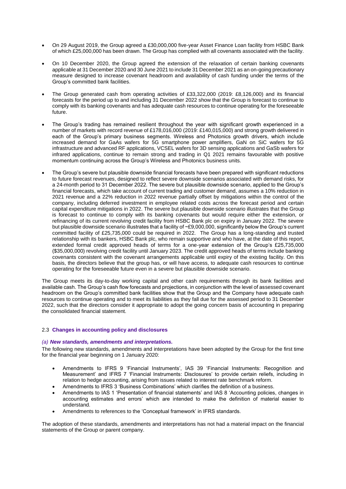- On 29 August 2019, the Group agreed a £30,000,000 five-year Asset Finance Loan facility from HSBC Bank of which £25,000,000 has been drawn. The Group has complied with all covenants associated with the facility.
- On 10 December 2020, the Group agreed the extension of the relaxation of certain banking covenants applicable at 31 December 2020 and 30 June 2021 to include 31 December 2021 as an on-going precautionary measure designed to increase covenant headroom and availability of cash funding under the terms of the Group's committed bank facilities.
- The Group generated cash from operating activities of £33,322,000 (2019: £8,126,000) and its financial forecasts for the period up to and including 31 December 2022 show that the Group is forecast to continue to comply with its banking covenants and has adequate cash resources to continue operating for the foreseeable future.
- The Group's trading has remained resilient throughout the year with significant growth experienced in a number of markets with record revenue of £178,016,000 (2019: £140,015,000) and strong growth delivered in each of the Group's primary business segments. Wireless and Photonics growth drivers, which include increased demand for GaAs wafers for 5G smartphone power amplifiers, GaN on SiC wafers for 5G infrastructure and advanced RF applications, VCSEL wafers for 3D sensing applications and GaSb wafers for infrared applications, continue to remain strong and trading in Q1 2021 remains favourable with positive momentum continuing across the Group's Wireless and Photonics business units.
- The Group's severe but plausible downside financial forecasts have been prepared with significant reductions to future forecast revenues, designed to reflect severe downside scenarios associated with demand risks, for a 24-month period to 31 December 2022. The severe but plausible downside scenario, applied to the Group's financial forecasts, which take account of current trading and customer demand, assumes a 10% reduction in 2021 revenue and a 22% reduction in 2022 revenue partially offset by mitigations within the control of the company, including deferred investment in employee related costs across the forecast period and certain capital expenditure mitigations in 2022. The severe but plausible downside scenario illustrates that the Group is forecast to continue to comply with its banking covenants but would require either the extension, or refinancing of its current revolving credit facility from HSBC Bank plc on expiry in January 2022. The severe but plausible downside scenario illustrates that a facility of ~£9,000,000, significantly below the Group's current committed facility of £25,735,000 could be required in 2022. The Group has a long-standing and trusted relationship with its bankers, HSBC Bank plc, who remain supportive and who have, at the date of this report, extended formal credit approved heads of terms for a one-year extension of the Group's £25,735,000 (\$35,000,000) revolving credit facility until January 2023. The credit approved heads of terms include banking covenants consistent with the covenant arrangements applicable until expiry of the existing facility. On this basis, the directors believe that the group has, or will have access, to adequate cash resources to continue operating for the foreseeable future even in a severe but plausible downside scenario.

The Group meets its day-to-day working capital and other cash requirements through its bank facilities and available cash. The Group's cash flow forecasts and projections, in conjunction with the level of assessed covenant headroom on the Group's committed bank facilities show that the Group and the Company have adequate cash resources to continue operating and to meet its liabilities as they fall due for the assessed period to 31 December 2022, such that the directors consider it appropriate to adopt the going concern basis of accounting in preparing the consolidated financial statement.

#### 2.3 **Changes in accounting policy and disclosures**

#### *(a) New standards, amendments and interpretations.*

The following new standards, amendments and interpretations have been adopted by the Group for the first time for the financial year beginning on 1 January 2020:

- Amendments to IFRS 9 'Financial Instruments', IAS 39 'Financial Instruments: Recognition and Measurement' and IFRS 7 'Financial Instruments: Disclosures' to provide certain reliefs, including in relation to hedge accounting, arising from issues related to interest rate benchmark reform.
- Amendments to IFRS 3 'Business Combinations' which clarifies the definition of a business.
- Amendments to IAS 1 'Presentation of financial statements' and IAS 8 'Accounting policies, changes in accounting estimates and errors' which are intended to make the definition of material easier to understand.
- Amendments to references to the 'Conceptual framework' in IFRS standards.

The adoption of these standards, amendments and interpretations has not had a material impact on the financial statements of the Group or parent company.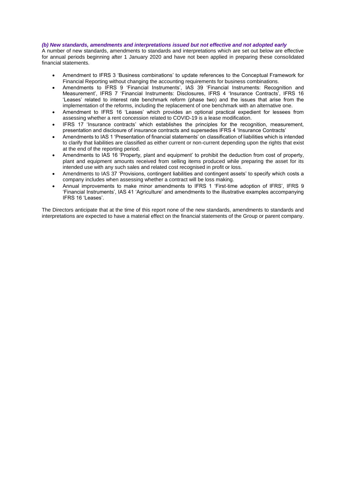#### *(b) New standards, amendments and interpretations issued but not effective and not adopted early*

A number of new standards, amendments to standards and interpretations which are set out below are effective for annual periods beginning after 1 January 2020 and have not been applied in preparing these consolidated financial statements.

- Amendment to IFRS 3 'Business combinations' to update references to the Conceptual Framework for Financial Reporting without changing the accounting requirements for business combinations.
- Amendments to IFRS 9 'Financial Instruments', IAS 39 'Financial Instruments: Recognition and Measurement', IFRS 7 'Financial Instruments: Disclosures, IFRS 4 'Insurance Contracts', IFRS 16 'Leases' related to interest rate benchmark reform (phase two) and the issues that arise from the implementation of the reforms, including the replacement of one benchmark with an alternative one.
- Amendment to IFRS 16 'Leases' which provides an optional practical expedient for lessees from assessing whether a rent concession related to COVID-19 is a lease modification.
- IFRS 17 'Insurance contracts' which establishes the principles for the recognition, measurement, presentation and disclosure of insurance contracts and supersedes IFRS 4 'Insurance Contracts'
- Amendments to IAS 1 'Presentation of financial statements' on classification of liabilities which is intended to clarify that liabilities are classified as either current or non-current depending upon the rights that exist at the end of the reporting period.
- Amendments to IAS 16 'Property, plant and equipment' to prohibit the deduction from cost of property, plant and equipment amounts received from selling items produced while preparing the asset for its intended use with any such sales and related cost recognised in profit or loss.
- Amendments to IAS 37 'Provisions, contingent liabilities and contingent assets' to specify which costs a company includes when assessing whether a contract will be loss making.
- Annual improvements to make minor amendments to IFRS 1 'First-time adoption of IFRS', IFRS 9 'Financial Instruments', IAS 41 'Agriculture' and amendments to the illustrative examples accompanying IFRS 16 'Leases'.

The Directors anticipate that at the time of this report none of the new standards, amendments to standards and interpretations are expected to have a material effect on the financial statements of the Group or parent company.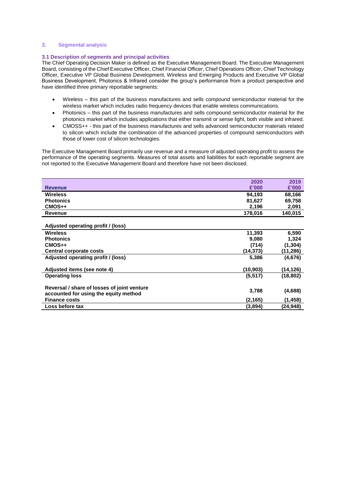#### **3. Segmental analysis**

#### **3.1 Description of segments and principal activities**

The Chief Operating Decision Maker is defined as the Executive Management Board. The Executive Management Board, consisting of the Chief Executive Officer, Chief Financial Officer, Chief Operations Officer, Chief Technology Officer, Executive VP Global Business Development, Wireless and Emerging Products and Executive VP Global Business Development, Photonics & Infrared consider the group's performance from a product perspective and have identified three primary reportable segments:

- Wireless this part of the business manufactures and sells compound semiconductor material for the wireless market which includes radio frequency devices that enable wireless communications.
- Photonics this part of the business manufactures and sells compound semiconductor material for the photonics market which includes applications that either transmit or sense light, both visible and infrared.
- CMOSS++ this part of the business manufactures and sells advanced semiconductor materials related to silicon which include the combination of the advanced properties of compound semiconductors with those of lower cost of silicon technologies.

The Executive Management Board primarily use revenue and a measure of adjusted operating profit to assess the performance of the operating segments. Measures of total assets and liabilities for each reportable segment are not reported to the Executive Management Board and therefore have not been disclosed.

|                                             | 2020     | 2019      |
|---------------------------------------------|----------|-----------|
| <b>Revenue</b>                              | £'000    | £'000     |
| <b>Wireless</b>                             | 94,193   | 68,166    |
| <b>Photonics</b>                            | 81,627   | 69,758    |
| $CMOS++$                                    | 2,196    | 2,091     |
| <b>Revenue</b>                              | 178,016  | 140,015   |
|                                             |          |           |
| Adjusted operating profit / (loss)          |          |           |
| <b>Wireless</b>                             | 11,393   | 6,590     |
| <b>Photonics</b>                            | 9,080    | 1,324     |
| $CMOS++$                                    | (714)    | (1, 304)  |
| <b>Central corporate costs</b>              | (14,373) | (11,286)  |
| Adjusted operating profit / (loss)          | 5,386    | (4,676)   |
| Adjusted items (see note 4)                 | (10,903) | (14,126)  |
| <b>Operating loss</b>                       | (5, 517) | (18, 802) |
| Reversal / share of losses of joint venture |          |           |
| accounted for using the equity method       | 3,788    | (4,688)   |
| <b>Finance costs</b>                        | (2,165)  | (1, 458)  |
| Loss before tax                             | (3,894)  | (24,948)  |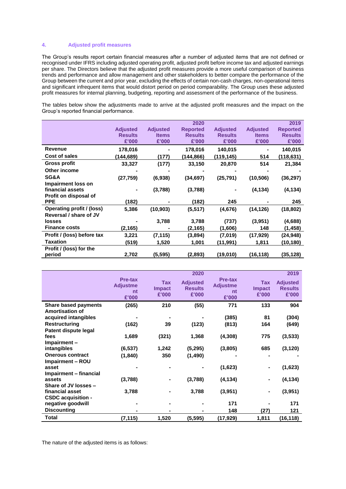#### **4. Adjusted profit measures**

The Group's results report certain financial measures after a number of adjusted items that are not defined or recognised under IFRS including adjusted operating profit, adjusted profit before income tax and adjusted earnings per share. The Directors believe that the adjusted profit measures provide a more useful comparison of business trends and performance and allow management and other stakeholders to better compare the performance of the Group between the current and prior year, excluding the effects of certain non-cash charges, non-operational items and significant infrequent items that would distort period on period comparability. The Group uses these adjusted profit measures for internal planning, budgeting, reporting and assessment of the performance of the business.

The tables below show the adjustments made to arrive at the adjusted profit measures and the impact on the Group's reported financial performance.

|                                  |                 |                 | 2020            |                 |                 | 2019            |
|----------------------------------|-----------------|-----------------|-----------------|-----------------|-----------------|-----------------|
|                                  | <b>Adjusted</b> | <b>Adjusted</b> | <b>Reported</b> | <b>Adjusted</b> | <b>Adjusted</b> | <b>Reported</b> |
|                                  | <b>Results</b>  | <b>Items</b>    | <b>Results</b>  | <b>Results</b>  | <b>Items</b>    | <b>Results</b>  |
|                                  | £'000           | £'000           | £'000           | £'000           | £'000           | £'000           |
| <b>Revenue</b>                   | 178,016         |                 | 178,016         | 140,015         |                 | 140,015         |
| Cost of sales                    | (144,689)       | (177)           | (144, 866)      | (119,145)       | 514             | (118,631)       |
| Gross profit                     | 33,327          | (177)           | 33,150          | 20,870          | 514             | 21,384          |
| Other income                     |                 |                 |                 |                 |                 |                 |
| SG&A                             | (27, 759)       | (6,938)         | (34, 697)       | (25, 791)       | (10, 506)       | (36, 297)       |
| Impairment loss on               |                 |                 |                 |                 |                 |                 |
| financial assets                 |                 | (3,788)         | (3,788)         |                 | (4, 134)        | (4, 134)        |
| Profit on disposal of            |                 |                 |                 |                 |                 |                 |
| <b>PPE</b>                       | (182)           |                 | (182)           | 245             |                 | 245             |
| <b>Operating profit / (loss)</b> | 5,386           | (10, 903)       | (5, 517)        | (4,676)         | (14, 126)       | (18, 802)       |
| Reversal / share of JV           |                 |                 |                 |                 |                 |                 |
| losses                           |                 | 3,788           | 3,788           | (737)           | (3,951)         | (4,688)         |
| <b>Finance costs</b>             | (2,165)         |                 | (2, 165)        | (1,606)         | 148             | (1,458)         |
| Profit / (loss) before tax       | 3,221           | (7, 115)        | (3,894)         | (7,019)         | (17, 929)       | (24,948)        |
| <b>Taxation</b>                  | (519)           | 1,520           | 1,001           | (11, 991)       | 1,811           | (10,180)        |
| Profit / (loss) for the          |                 |                 |                 |                 |                 |                 |
| period                           | 2,702           | (5, 595)        | (2.893)         | (19,010)        | (16,118)        | (35,128)        |

|                             | Pre-tax<br><b>Adjustme</b><br>nt<br>£'000 | Tax<br><b>Impact</b><br>£'000 | 2020<br><b>Adjusted</b><br><b>Results</b><br>£'000 | Pre-tax<br><b>Adjustme</b><br>nt<br>£'000 | <b>Tax</b><br><b>Impact</b><br>£'000 | 2019<br><b>Adjusted</b><br><b>Results</b><br>£'000 |
|-----------------------------|-------------------------------------------|-------------------------------|----------------------------------------------------|-------------------------------------------|--------------------------------------|----------------------------------------------------|
| <b>Share based payments</b> | (265)                                     | 210                           | (55)                                               | 771                                       | 133                                  | 904                                                |
| <b>Amortisation of</b>      |                                           |                               |                                                    |                                           |                                      |                                                    |
| acquired intangibles        |                                           |                               |                                                    | (385)                                     | 81                                   | (304)                                              |
| <b>Restructuring</b>        | (162)                                     | 39                            | (123)                                              | (813)                                     | 164                                  | (649)                                              |
| Patent dispute legal        |                                           |                               |                                                    |                                           |                                      |                                                    |
| fees                        | 1,689                                     | (321)                         | 1,368                                              | (4,308)                                   | 775                                  | (3, 533)                                           |
| Impairment-                 |                                           |                               |                                                    |                                           |                                      |                                                    |
| intangibles                 | (6, 537)                                  | 1,242                         | (5,295)                                            | (3,805)                                   | 685                                  | (3, 120)                                           |
| <b>Onerous contract</b>     | (1, 840)                                  | 350                           | (1,490)                                            |                                           |                                      |                                                    |
| Impairment - ROU            |                                           |                               |                                                    |                                           |                                      |                                                    |
| asset                       |                                           |                               |                                                    | (1,623)                                   |                                      | (1,623)                                            |
| Impairment - financial      |                                           |                               |                                                    |                                           |                                      |                                                    |
| assets                      | (3,788)                                   |                               | (3,788)                                            | (4, 134)                                  | ۰                                    | (4, 134)                                           |
| Share of JV losses -        |                                           |                               |                                                    |                                           |                                      |                                                    |
| financial asset             | 3,788                                     |                               | 3,788                                              | (3,951)                                   |                                      | (3,951)                                            |
| <b>CSDC acquisition -</b>   |                                           |                               |                                                    |                                           |                                      |                                                    |
| negative goodwill           |                                           |                               |                                                    | 171                                       |                                      | 171                                                |
| <b>Discounting</b>          |                                           |                               |                                                    | 148                                       | (27)                                 | 121                                                |
| Total                       | (7, 115)                                  | 1,520                         | (5, 595)                                           | (17,929)                                  | 1,811                                | (16,118)                                           |

The nature of the adjusted items is as follows: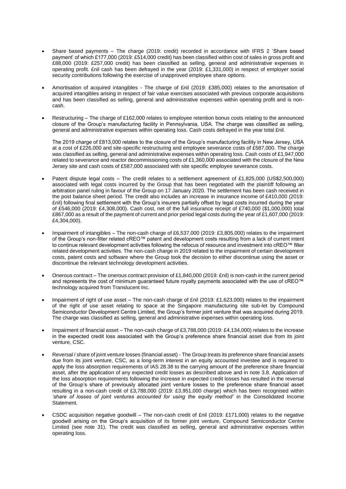- Share based payments The charge (2019: credit) recorded in accordance with IFRS 2 'Share based payment' of which £177,000 (2019: £514,000 credit) has been classified within cost of sales in gross profit and £88,000 (2019: £257,000 credit) has been classified as selling, general and administrative expenses in operating profit. £nil cash has been defrayed in the year (2019: £1,331,000) in respect of employer social security contributions following the exercise of unapproved employee share options.
- Amortisation of acquired intangibles The charge of £nil (2019: £385,000) relates to the amortisation of acquired intangibles arising in respect of fair value exercises associated with previous corporate acquisitions and has been classified as selling, general and administrative expenses within operating profit and is noncash.
- Restructuring The charge of £162,000 relates to employee retention bonus costs relating to the announced closure of the Group's manufacturing facility in Pennsylvania, USA. The charge was classified as selling, general and administrative expenses within operating loss. Cash costs defrayed in the year total £nil.

The 2019 charge of £813,000 relates to the closure of the Group's manufacturing facility in New Jersey, USA at a cost of £226,000 and site-specific restructuring and employee severance costs of £587,000. The charge was classified as selling, general and administrative expenses within operating loss. Cash costs of £1,947,000 related to severance and reactor decommissioning costs of £1,360,000 associated with the closure of the New Jersey site and cash costs of £587,000 associated with site specific employee severance costs.

- Patent dispute legal costs The credit relates to a settlement agreement of £1,825,000 (US\$2,500,000) associated with legal costs incurred by the Group that has been negotiated with the plaintiff following an arbitration panel ruling in favour of the Group on 17 January 2020. The settlement has been cash received in the post balance sheet period. The credit also includes an increase in insurance income of £410,000 (2019: £nil) following final settlement with the Group's insurers partially offset by legal costs incurred during the year of £546,000 (2019: £4,308,000). Cash cost, net of the full insurance receipt of £740,000 (\$1,000,000) total £867,000 as a result of the payment of current and prior period legal costs during the year of £1,607,000 (2019: £4,304,000).
- Impairment of intangibles The non-cash charge of £6,537,000 (2019: £3,805,000) relates to the impairment of the Group's non-filter related cREO™ patent and development costs resulting from a lack of current intent to continue relevant development activities following the refocus of resource and investment into cREO™ filter related development activities. The non-cash charge in 2019 related to the impairment of certain development costs, patent costs and software where the Group took the decision to either discontinue using the asset or discontinue the relevant technology development activities.
- Onerous contract The onerous contract provision of £1,840,000 (2019: £nil) is non-cash in the current period and represents the cost of minimum guaranteed future royalty payments associated with the use of cREO™ technology acquired from Translucent Inc.
- Impairment of right of use asset The non-cash charge of £nil (2019: £1,623,000) relates to the impairment of the right of use asset relating to space at the Singapore manufacturing site sub-let by Compound Semiconductor Development Centre Limited, the Group's former joint venture that was acquired during 2019. The charge was classified as selling, general and administrative expenses within operating loss.
- Impairment of financial asset The non-cash charge of £3,788,000 (2019: £4,134,000) relates to the increase in the expected credit loss associated with the Group's preference share financial asset due from its joint venture, CSC.
- Reversal / share of joint venture losses (financial asset) The Group treats its preference share financial assets due from its joint venture, CSC, as a long-term interest in an equity accounted investee and is required to apply the loss absorption requirements of IAS 28.38 to the carrying amount of the preference share financial asset, after the application of any expected credit losses as described above and in note 3.8. Application of the loss absorption requirements following the increase in expected credit losses has resulted in the reversal of the Group's share of previously allocated joint venture losses to the preference share financial asset resulting in a non-cash credit of £3,788,000 (2019: £3,951,000 charge) which has been recognised within 'share of losses of joint ventures accounted for using the equity method' in the Consolidated Income Statement.
- CSDC acquisition negative goodwill The non-cash credit of £nil (2019: £171,000) relates to the negative goodwill arising on the Group's acquisition of its former joint venture, Compound Semiconductor Centre Limited (see note 31). The credit was classified as selling, general and administrative expenses within operating loss.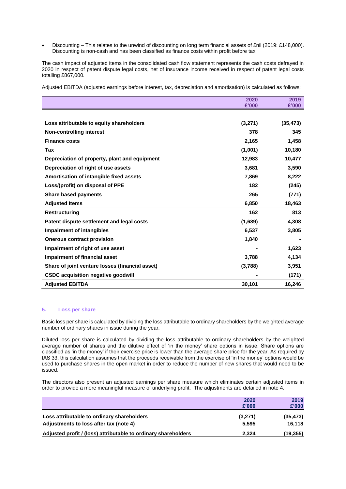• Discounting – This relates to the unwind of discounting on long term financial assets of £nil (2019: £148,000). Discounting is non-cash and has been classified as finance costs within profit before tax.

The cash impact of adjusted items in the consolidated cash flow statement represents the cash costs defrayed in 2020 in respect of patent dispute legal costs, net of insurance income received in respect of patent legal costs totalling £867,000.

Adjusted EBITDA (adjusted earnings before interest, tax, depreciation and amortisation) is calculated as follows:

|                                                 | 2020    | 2019      |
|-------------------------------------------------|---------|-----------|
|                                                 | £'000   | £'000     |
|                                                 |         |           |
| Loss attributable to equity shareholders        | (3,271) | (35, 473) |
| <b>Non-controlling interest</b>                 | 378     | 345       |
| <b>Finance costs</b>                            | 2,165   | 1,458     |
| Tax                                             | (1,001) | 10,180    |
| Depreciation of property, plant and equipment   | 12,983  | 10,477    |
| Depreciation of right of use assets             | 3,681   | 3,590     |
| Amortisation of intangible fixed assets         | 7,869   | 8,222     |
| Loss/(profit) on disposal of PPE                | 182     | (245)     |
| <b>Share based payments</b>                     | 265     | (771)     |
| <b>Adjusted Items</b>                           | 6,850   | 18,463    |
| <b>Restructuring</b>                            | 162     | 813       |
| Patent dispute settlement and legal costs       | (1,689) | 4,308     |
| <b>Impairment of intangibles</b>                | 6,537   | 3,805     |
| <b>Onerous contract provision</b>               | 1,840   |           |
| Impairment of right of use asset                |         | 1,623     |
| Impairment of financial asset                   | 3,788   | 4,134     |
| Share of joint venture losses (financial asset) | (3,788) | 3,951     |
| <b>CSDC acquisition negative goodwill</b>       |         | (171)     |
| <b>Adjusted EBITDA</b>                          | 30,101  | 16,246    |

#### **5. Loss per share**

Basic loss per share is calculated by dividing the loss attributable to ordinary shareholders by the weighted average number of ordinary shares in issue during the year.

Diluted loss per share is calculated by dividing the loss attributable to ordinary shareholders by the weighted average number of shares and the dilutive effect of 'in the money' share options in issue. Share options are classified as 'in the money' if their exercise price is lower than the average share price for the year. As required by IAS 33, this calculation assumes that the proceeds receivable from the exercise of 'in the money' options would be used to purchase shares in the open market in order to reduce the number of new shares that would need to be issued.

The directors also present an adjusted earnings per share measure which eliminates certain adjusted items in order to provide a more meaningful measure of underlying profit. The adjustments are detailed in note 4.

|                                                                | 2020<br>£'000 | 2019<br>£'000 |
|----------------------------------------------------------------|---------------|---------------|
| Loss attributable to ordinary shareholders                     | (3,271)       | (35, 473)     |
| Adjustments to loss after tax (note 4)                         | 5.595         | 16,118        |
| Adjusted profit / (loss) attributable to ordinary shareholders | 2.324         | (19, 355)     |